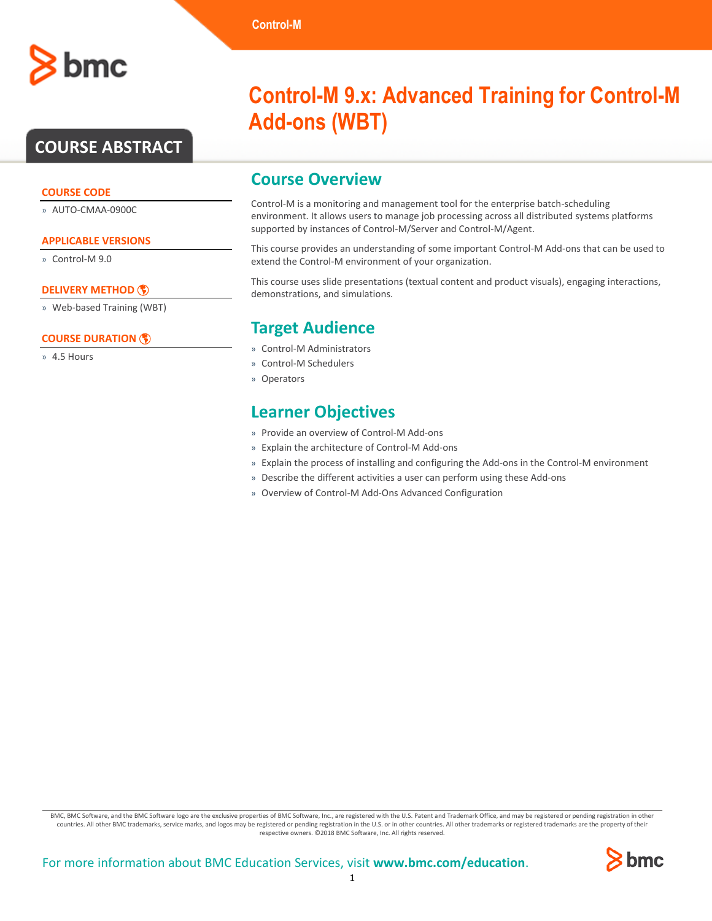## **COURSE ABSTRACT**

#### **COURSE CODE**

» AUTO-CMAA-0900C

#### **APPLICABLE VERSIONS**

» Control-M 9.0

#### **[DELIVERY METHOD](http://www.bmc.com/education/modality.html)**

» Web-based Training (WBT)

#### **[COURSE DURATION](http://www.bmc.com/education/learning-paths/education-filters-learning-paths.html)**

» 4.5 Hours

# **Control-M 9.x: Advanced Training for Control-M**

## **Add-ons (WBT)**

### **Course Overview**

**Control-M**

Control-M is a monitoring and management tool for the enterprise batch-scheduling environment. It allows users to manage job processing across all distributed systems platforms supported by instances of Control-M/Server and Control-M/Agent.

This course provides an understanding of some important Control-M Add-ons that can be used to extend the Control-M environment of your organization.

This course uses slide presentations (textual content and product visuals), engaging interactions, demonstrations, and simulations.

## **Target Audience**

- » Control-M Administrators
- » Control-M Schedulers
- » Operators

## **Learner Objectives**

- » Provide an overview of Control-M Add-ons
- » Explain the architecture of Control-M Add-ons
- » Explain the process of installing and configuring the Add-ons in the Control-M environment
- » Describe the different activities a user can perform using these Add-ons
- » Overview of Control-M Add-Ons Advanced Configuration

BMC, BMC Software, and the BMC Software logo are the exclusive properties of BMC Software, Inc., are registered with the U.S. Patent and Trademark Office, and may be registered or pending registration in other countries. All other BMC trademarks, service marks, and logos may be registered or pending registration in the U.S. or in other countries. All other trademarks or registered trademarks are the property of their respective owners. ©2018 BMC Software, Inc. All rights reserved.